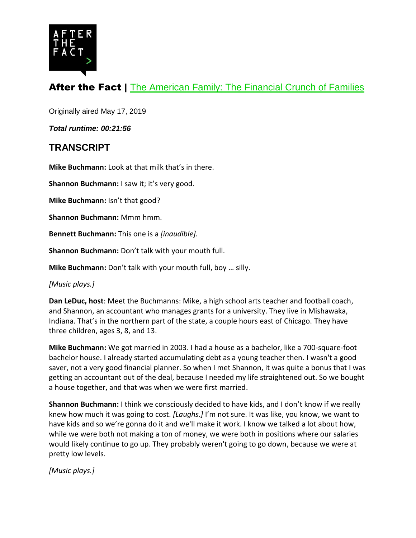

# After the Fact | [The American Family: The Financial Crunch of Families](https://www.pewtrusts.org/en/research-and-analysis/articles/2019/05/17/the-american-family-the-financial-crunch-of-families)

Originally aired May 17, 2019

*Total runtime: 00:21:56*

## **TRANSCRIPT**

**Mike Buchmann:** Look at that milk that's in there.

**Shannon Buchmann:** I saw it; it's very good.

**Mike Buchmann:** Isn't that good?

**Shannon Buchmann:** Mmm hmm.

**Bennett Buchmann:** This one is a *[inaudible].*

**Shannon Buchmann:** Don't talk with your mouth full.

**Mike Buchmann:** Don't talk with your mouth full, boy … silly.

*[Music plays.]*

**Dan LeDuc, host**: Meet the Buchmanns: Mike, a high school arts teacher and football coach, and Shannon, an accountant who manages grants for a university. They live in Mishawaka, Indiana. That's in the northern part of the state, a couple hours east of Chicago. They have three children, ages 3, 8, and 13.

**Mike Buchmann:** We got married in 2003. I had a house as a bachelor, like a 700-square-foot bachelor house. I already started accumulating debt as a young teacher then. I wasn't a good saver, not a very good financial planner. So when I met Shannon, it was quite a bonus that I was getting an accountant out of the deal, because I needed my life straightened out. So we bought a house together, and that was when we were first married.

**Shannon Buchmann:** I think we consciously decided to have kids, and I don't know if we really knew how much it was going to cost. *[Laughs.]* I'm not sure. It was like, you know, we want to have kids and so we're gonna do it and we'll make it work. I know we talked a lot about how, while we were both not making a ton of money, we were both in positions where our salaries would likely continue to go up. They probably weren't going to go down, because we were at pretty low levels.

*[Music plays.]*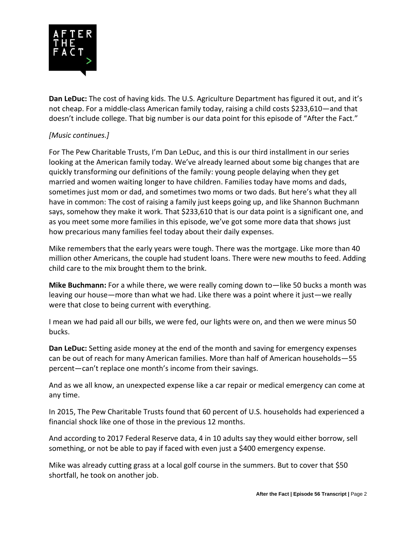

**Dan LeDuc:** The cost of having kids. The U.S. Agriculture Department has figured it out, and it's not cheap. For a middle-class American family today, raising a child costs \$233,610—and that doesn't include college. That big number is our data point for this episode of "After the Fact."

### *[Music continues.]*

For The Pew Charitable Trusts, I'm Dan LeDuc, and this is our third installment in our series looking at the American family today. We've already learned about some big changes that are quickly transforming our definitions of the family: young people delaying when they get married and women waiting longer to have children. Families today have moms and dads, sometimes just mom or dad, and sometimes two moms or two dads. But here's what they all have in common: The cost of raising a family just keeps going up, and like Shannon Buchmann says, somehow they make it work. That \$233,610 that is our data point is a significant one, and as you meet some more families in this episode, we've got some more data that shows just how precarious many families feel today about their daily expenses.

Mike remembers that the early years were tough. There was the mortgage. Like more than 40 million other Americans, the couple had student loans. There were new mouths to feed. Adding child care to the mix brought them to the brink.

**Mike Buchmann:** For a while there, we were really coming down to—like 50 bucks a month was leaving our house—more than what we had. Like there was a point where it just—we really were that close to being current with everything.

I mean we had paid all our bills, we were fed, our lights were on, and then we were minus 50 bucks.

**Dan LeDuc:** Setting aside money at the end of the month and saving for emergency expenses can be out of reach for many American families. More than half of American households—55 percent—can't replace one month's income from their savings.

And as we all know, an unexpected expense like a car repair or medical emergency can come at any time.

In 2015, The Pew Charitable Trusts found that 60 percent of U.S. households had experienced a financial shock like one of those in the previous 12 months.

And according to 2017 Federal Reserve data, 4 in 10 adults say they would either borrow, sell something, or not be able to pay if faced with even just a \$400 emergency expense.

Mike was already cutting grass at a local golf course in the summers. But to cover that \$50 shortfall, he took on another job.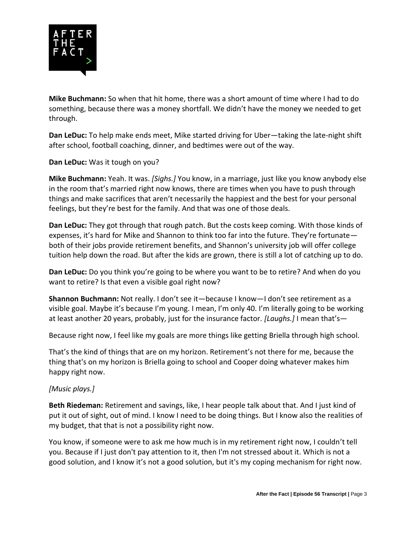

**Mike Buchmann:** So when that hit home, there was a short amount of time where I had to do something, because there was a money shortfall. We didn't have the money we needed to get through.

**Dan LeDuc:** To help make ends meet, Mike started driving for Uber—taking the late-night shift after school, football coaching, dinner, and bedtimes were out of the way.

**Dan LeDuc:** Was it tough on you?

**Mike Buchmann:** Yeah. It was. *[Sighs.]* You know, in a marriage, just like you know anybody else in the room that's married right now knows, there are times when you have to push through things and make sacrifices that aren't necessarily the happiest and the best for your personal feelings, but they're best for the family. And that was one of those deals.

**Dan LeDuc:** They got through that rough patch. But the costs keep coming. With those kinds of expenses, it's hard for Mike and Shannon to think too far into the future. They're fortunate both of their jobs provide retirement benefits, and Shannon's university job will offer college tuition help down the road. But after the kids are grown, there is still a lot of catching up to do.

**Dan LeDuc:** Do you think you're going to be where you want to be to retire? And when do you want to retire? Is that even a visible goal right now?

**Shannon Buchmann:** Not really. I don't see it—because I know—I don't see retirement as a visible goal. Maybe it's because I'm young. I mean, I'm only 40. I'm literally going to be working at least another 20 years, probably, just for the insurance factor. *[Laughs.]* I mean that's—

Because right now, I feel like my goals are more things like getting Briella through high school.

That's the kind of things that are on my horizon. Retirement's not there for me, because the thing that's on my horizon is Briella going to school and Cooper doing whatever makes him happy right now.

#### *[Music plays.]*

**Beth Riedeman:** Retirement and savings, like, I hear people talk about that. And I just kind of put it out of sight, out of mind. I know I need to be doing things. But I know also the realities of my budget, that that is not a possibility right now.

You know, if someone were to ask me how much is in my retirement right now, I couldn't tell you. Because if I just don't pay attention to it, then I'm not stressed about it. Which is not a good solution, and I know it's not a good solution, but it's my coping mechanism for right now.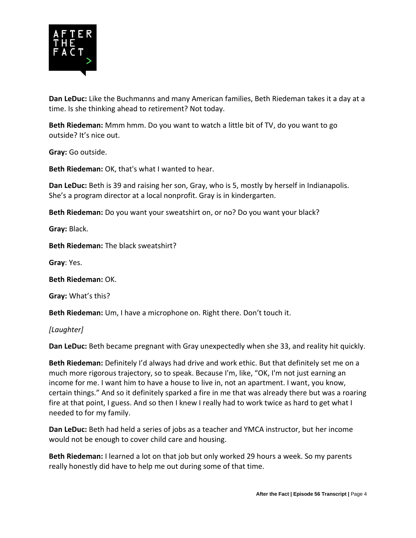

**Dan LeDuc:** Like the Buchmanns and many American families, Beth Riedeman takes it a day at a time. Is she thinking ahead to retirement? Not today.

**Beth Riedeman:** Mmm hmm. Do you want to watch a little bit of TV, do you want to go outside? It's nice out.

**Gray:** Go outside.

**Beth Riedeman:** OK, that's what I wanted to hear.

**Dan LeDuc:** Beth is 39 and raising her son, Gray, who is 5, mostly by herself in Indianapolis. She's a program director at a local nonprofit. Gray is in kindergarten.

**Beth Riedeman:** Do you want your sweatshirt on, or no? Do you want your black?

**Gray:** Black.

**Beth Riedeman:** The black sweatshirt?

**Gray**: Yes.

**Beth Riedeman:** OK.

**Gray:** What's this?

**Beth Riedeman:** Um, I have a microphone on. Right there. Don't touch it.

*[Laughter]*

**Dan LeDuc:** Beth became pregnant with Gray unexpectedly when she 33, and reality hit quickly.

**Beth Riedeman:** Definitely I'd always had drive and work ethic. But that definitely set me on a much more rigorous trajectory, so to speak. Because I'm, like, "OK, I'm not just earning an income for me. I want him to have a house to live in, not an apartment. I want, you know, certain things." And so it definitely sparked a fire in me that was already there but was a roaring fire at that point, I guess. And so then I knew I really had to work twice as hard to get what I needed to for my family.

**Dan LeDuc:** Beth had held a series of jobs as a teacher and YMCA instructor, but her income would not be enough to cover child care and housing.

**Beth Riedeman:** I learned a lot on that job but only worked 29 hours a week. So my parents really honestly did have to help me out during some of that time.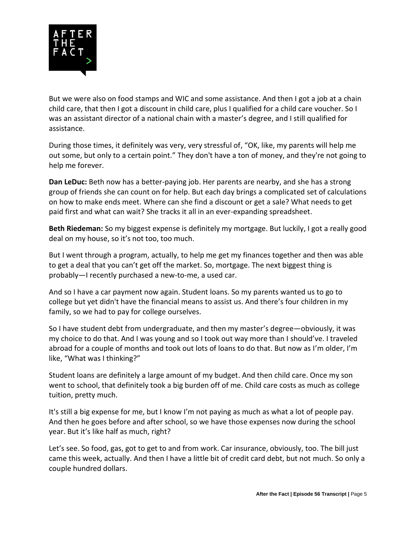

But we were also on food stamps and WIC and some assistance. And then I got a job at a chain child care, that then I got a discount in child care, plus I qualified for a child care voucher. So I was an assistant director of a national chain with a master's degree, and I still qualified for assistance.

During those times, it definitely was very, very stressful of, "OK, like, my parents will help me out some, but only to a certain point." They don't have a ton of money, and they're not going to help me forever.

**Dan LeDuc:** Beth now has a better-paying job. Her parents are nearby, and she has a strong group of friends she can count on for help. But each day brings a complicated set of calculations on how to make ends meet. Where can she find a discount or get a sale? What needs to get paid first and what can wait? She tracks it all in an ever-expanding spreadsheet.

**Beth Riedeman:** So my biggest expense is definitely my mortgage. But luckily, I got a really good deal on my house, so it's not too, too much.

But I went through a program, actually, to help me get my finances together and then was able to get a deal that you can't get off the market. So, mortgage. The next biggest thing is probably—I recently purchased a new-to-me, a used car.

And so I have a car payment now again. Student loans. So my parents wanted us to go to college but yet didn't have the financial means to assist us. And there's four children in my family, so we had to pay for college ourselves.

So I have student debt from undergraduate, and then my master's degree—obviously, it was my choice to do that. And I was young and so I took out way more than I should've. I traveled abroad for a couple of months and took out lots of loans to do that. But now as I'm older, I'm like, "What was I thinking?"

Student loans are definitely a large amount of my budget. And then child care. Once my son went to school, that definitely took a big burden off of me. Child care costs as much as college tuition, pretty much.

It's still a big expense for me, but I know I'm not paying as much as what a lot of people pay. And then he goes before and after school, so we have those expenses now during the school year. But it's like half as much, right?

Let's see. So food, gas, got to get to and from work. Car insurance, obviously, too. The bill just came this week, actually. And then I have a little bit of credit card debt, but not much. So only a couple hundred dollars.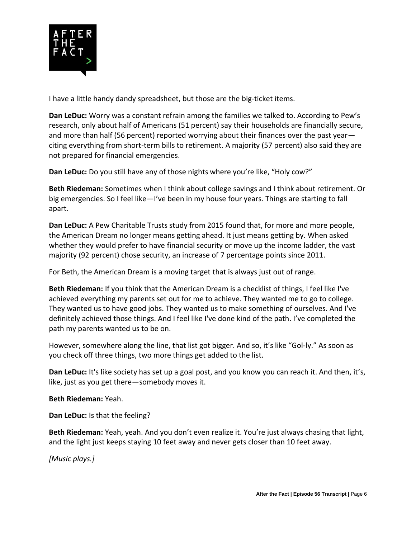

I have a little handy dandy spreadsheet, but those are the big-ticket items.

**Dan LeDuc:** Worry was a constant refrain among the families we talked to. According to Pew's research, only about half of Americans (51 percent) say their households are financially secure, and more than half (56 percent) reported worrying about their finances over the past year citing everything from short-term bills to retirement. A majority (57 percent) also said they are not prepared for financial emergencies.

**Dan LeDuc:** Do you still have any of those nights where you're like, "Holy cow?"

**Beth Riedeman:** Sometimes when I think about college savings and I think about retirement. Or big emergencies. So I feel like—I've been in my house four years. Things are starting to fall apart.

**Dan LeDuc:** A Pew Charitable Trusts study from 2015 found that, for more and more people, the American Dream no longer means getting ahead. It just means getting by. When asked whether they would prefer to have financial security or move up the income ladder, the vast majority (92 percent) chose security, an increase of 7 percentage points since 2011.

For Beth, the American Dream is a moving target that is always just out of range.

**Beth Riedeman:** If you think that the American Dream is a checklist of things, I feel like I've achieved everything my parents set out for me to achieve. They wanted me to go to college. They wanted us to have good jobs. They wanted us to make something of ourselves. And I've definitely achieved those things. And I feel like I've done kind of the path. I've completed the path my parents wanted us to be on.

However, somewhere along the line, that list got bigger. And so, it's like "Gol-ly." As soon as you check off three things, two more things get added to the list.

**Dan LeDuc:** It's like society has set up a goal post, and you know you can reach it. And then, it's, like, just as you get there—somebody moves it.

**Beth Riedeman:** Yeah.

**Dan LeDuc:** Is that the feeling?

**Beth Riedeman:** Yeah, yeah. And you don't even realize it. You're just always chasing that light, and the light just keeps staying 10 feet away and never gets closer than 10 feet away.

*[Music plays.]*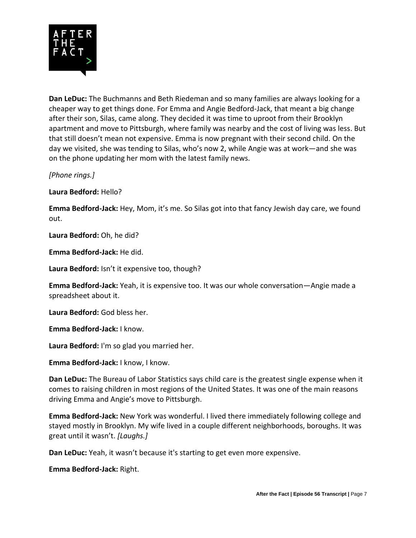

**Dan LeDuc:** The Buchmanns and Beth Riedeman and so many families are always looking for a cheaper way to get things done. For Emma and Angie Bedford-Jack, that meant a big change after their son, Silas, came along. They decided it was time to uproot from their Brooklyn apartment and move to Pittsburgh, where family was nearby and the cost of living was less. But that still doesn't mean not expensive. Emma is now pregnant with their second child. On the day we visited, she was tending to Silas, who's now 2, while Angie was at work—and she was on the phone updating her mom with the latest family news.

*[Phone rings.]*

**Laura Bedford:** Hello?

**Emma Bedford-Jack:** Hey, Mom, it's me. So Silas got into that fancy Jewish day care, we found out.

**Laura Bedford:** Oh, he did?

**Emma Bedford-Jack:** He did.

**Laura Bedford:** Isn't it expensive too, though?

**Emma Bedford-Jack:** Yeah, it is expensive too. It was our whole conversation—Angie made a spreadsheet about it.

**Laura Bedford:** God bless her.

**Emma Bedford-Jack:** I know.

**Laura Bedford:** I'm so glad you married her.

**Emma Bedford-Jack:** I know, I know.

**Dan LeDuc:** The Bureau of Labor Statistics says child care is the greatest single expense when it comes to raising children in most regions of the United States. It was one of the main reasons driving Emma and Angie's move to Pittsburgh.

**Emma Bedford-Jack:** New York was wonderful. I lived there immediately following college and stayed mostly in Brooklyn. My wife lived in a couple different neighborhoods, boroughs. It was great until it wasn't. *[Laughs.]*

**Dan LeDuc:** Yeah, it wasn't because it's starting to get even more expensive.

**Emma Bedford-Jack:** Right.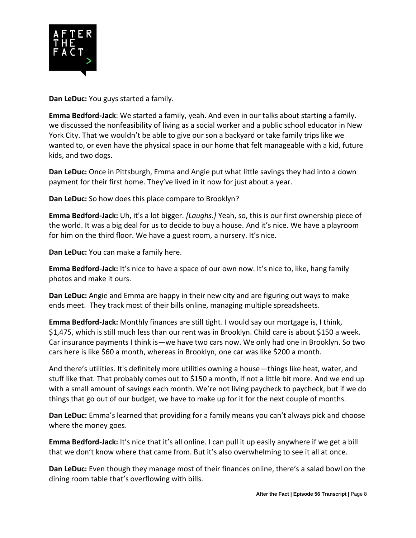

**Dan LeDuc:** You guys started a family.

**Emma Bedford-Jack**: We started a family, yeah. And even in our talks about starting a family. we discussed the nonfeasibility of living as a social worker and a public school educator in New York City. That we wouldn't be able to give our son a backyard or take family trips like we wanted to, or even have the physical space in our home that felt manageable with a kid, future kids, and two dogs.

**Dan LeDuc:** Once in Pittsburgh, Emma and Angie put what little savings they had into a down payment for their first home. They've lived in it now for just about a year.

**Dan LeDuc:** So how does this place compare to Brooklyn?

**Emma Bedford-Jack:** Uh, it's a lot bigger. *[Laughs.]* Yeah, so, this is our first ownership piece of the world. It was a big deal for us to decide to buy a house. And it's nice. We have a playroom for him on the third floor. We have a guest room, a nursery. It's nice.

**Dan LeDuc:** You can make a family here.

**Emma Bedford-Jack:** It's nice to have a space of our own now. It's nice to, like, hang family photos and make it ours.

**Dan LeDuc:** Angie and Emma are happy in their new city and are figuring out ways to make ends meet. They track most of their bills online, managing multiple spreadsheets.

**Emma Bedford-Jack:** Monthly finances are still tight. I would say our mortgage is, I think, \$1,475, which is still much less than our rent was in Brooklyn. Child care is about \$150 a week. Car insurance payments I think is—we have two cars now. We only had one in Brooklyn. So two cars here is like \$60 a month, whereas in Brooklyn, one car was like \$200 a month.

And there's utilities. It's definitely more utilities owning a house—things like heat, water, and stuff like that. That probably comes out to \$150 a month, if not a little bit more. And we end up with a small amount of savings each month. We're not living paycheck to paycheck, but if we do things that go out of our budget, we have to make up for it for the next couple of months.

**Dan LeDuc:** Emma's learned that providing for a family means you can't always pick and choose where the money goes.

**Emma Bedford-Jack:** It's nice that it's all online. I can pull it up easily anywhere if we get a bill that we don't know where that came from. But it's also overwhelming to see it all at once.

**Dan LeDuc:** Even though they manage most of their finances online, there's a salad bowl on the dining room table that's overflowing with bills.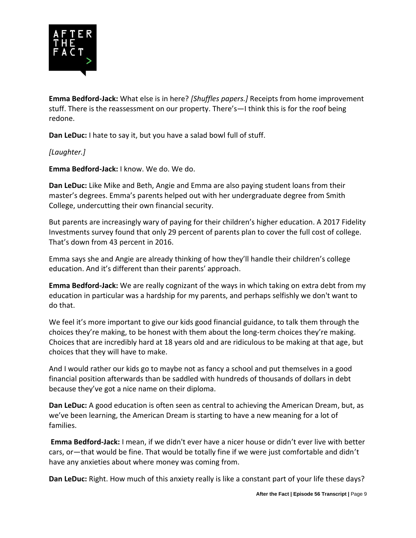

**Emma Bedford-Jack:** What else is in here? *[Shuffles papers.]* Receipts from home improvement stuff. There is the reassessment on our property. There's—I think this is for the roof being redone.

**Dan LeDuc:** I hate to say it, but you have a salad bowl full of stuff.

*[Laughter.]*

**Emma Bedford-Jack:** I know. We do. We do.

**Dan LeDuc:** Like Mike and Beth, Angie and Emma are also paying student loans from their master's degrees. Emma's parents helped out with her undergraduate degree from Smith College, undercutting their own financial security.

But parents are increasingly wary of paying for their children's higher education. A 2017 Fidelity Investments survey found that only 29 percent of parents plan to cover the full cost of college. That's down from 43 percent in 2016.

Emma says she and Angie are already thinking of how they'll handle their children's college education. And it's different than their parents' approach.

**Emma Bedford-Jack:** We are really cognizant of the ways in which taking on extra debt from my education in particular was a hardship for my parents, and perhaps selfishly we don't want to do that.

We feel it's more important to give our kids good financial guidance, to talk them through the choices they're making, to be honest with them about the long-term choices they're making. Choices that are incredibly hard at 18 years old and are ridiculous to be making at that age, but choices that they will have to make.

And I would rather our kids go to maybe not as fancy a school and put themselves in a good financial position afterwards than be saddled with hundreds of thousands of dollars in debt because they've got a nice name on their diploma.

**Dan LeDuc:** A good education is often seen as central to achieving the American Dream, but, as we've been learning, the American Dream is starting to have a new meaning for a lot of families.

**Emma Bedford-Jack:** I mean, if we didn't ever have a nicer house or didn't ever live with better cars, or—that would be fine. That would be totally fine if we were just comfortable and didn't have any anxieties about where money was coming from.

**Dan LeDuc:** Right. How much of this anxiety really is like a constant part of your life these days?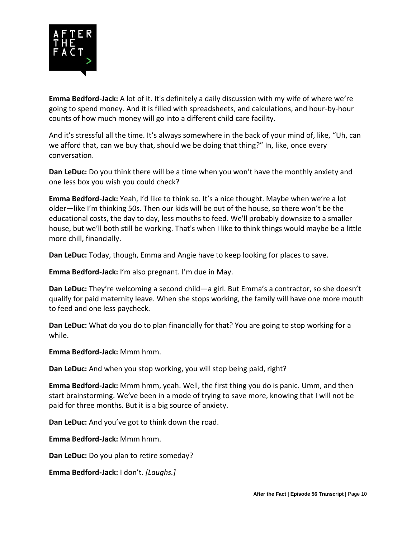

**Emma Bedford-Jack:** A lot of it. It's definitely a daily discussion with my wife of where we're going to spend money. And it is filled with spreadsheets, and calculations, and hour-by-hour counts of how much money will go into a different child care facility.

And it's stressful all the time. It's always somewhere in the back of your mind of, like, "Uh, can we afford that, can we buy that, should we be doing that thing?" In, like, once every conversation.

**Dan LeDuc:** Do you think there will be a time when you won't have the monthly anxiety and one less box you wish you could check?

**Emma Bedford-Jack:** Yeah, I'd like to think so. It's a nice thought. Maybe when we're a lot older—like I'm thinking 50s. Then our kids will be out of the house, so there won't be the educational costs, the day to day, less mouths to feed. We'll probably downsize to a smaller house, but we'll both still be working. That's when I like to think things would maybe be a little more chill, financially.

**Dan LeDuc:** Today, though, Emma and Angie have to keep looking for places to save.

**Emma Bedford-Jack:** I'm also pregnant. I'm due in May.

**Dan LeDuc:** They're welcoming a second child—a girl. But Emma's a contractor, so she doesn't qualify for paid maternity leave. When she stops working, the family will have one more mouth to feed and one less paycheck.

**Dan LeDuc:** What do you do to plan financially for that? You are going to stop working for a while.

**Emma Bedford-Jack:** Mmm hmm.

**Dan LeDuc:** And when you stop working, you will stop being paid, right?

**Emma Bedford-Jack:** Mmm hmm, yeah. Well, the first thing you do is panic. Umm, and then start brainstorming. We've been in a mode of trying to save more, knowing that I will not be paid for three months. But it is a big source of anxiety.

**Dan LeDuc:** And you've got to think down the road.

**Emma Bedford-Jack:** Mmm hmm.

**Dan LeDuc:** Do you plan to retire someday?

**Emma Bedford-Jack:** I don't. *[Laughs.]*